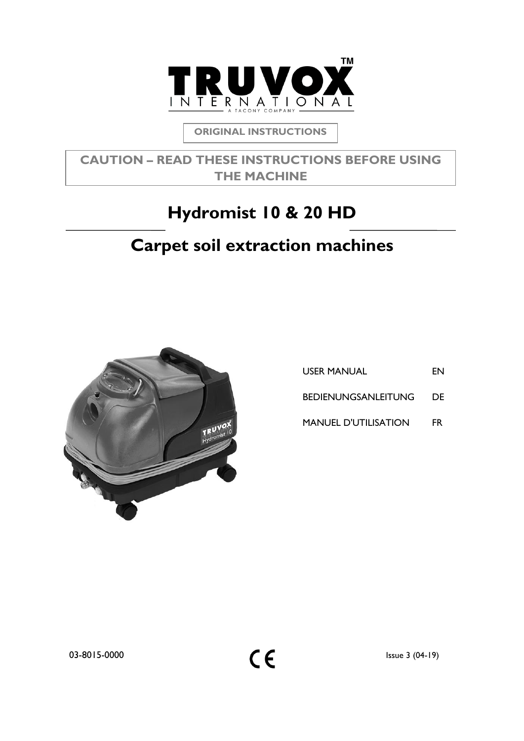

**ORIGINAL INSTRUCTIONS**

## **CAUTION – READ THESE INSTRUCTIONS BEFORE USING THE MACHINE**

# **Hydromist 10 & 20 HD**

# **Carpet soil extraction machines**



| USER MANUAL         | FN  |
|---------------------|-----|
| BEDIENUNGSANLEITUNG | DF. |

FR

MANUEL D'UTILISATION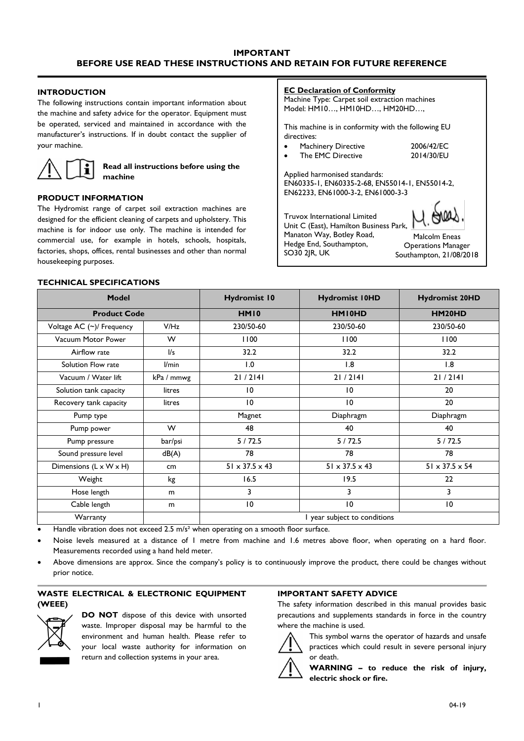#### **IMPORTANT BEFORE USE READ THESE INSTRUCTIONS AND RETAIN FOR FUTURE REFERENCE**

#### **INTRODUCTION**

The following instructions contain important information about the machine and safety advice for the operator. Equipment must be operated, serviced and maintained in accordance with the manufacturer's instructions. If in doubt contact the supplier of your machine.



#### **Read all instructions before using the machine**

#### **PRODUCT INFORMATION**

The Hydromist range of carpet soil extraction machines are designed for the efficient cleaning of carpets and upholstery. This machine is for indoor use only. The machine is intended for commercial use, for example in hotels, schools, hospitals, factories, shops, offices, rental businesses and other than normal housekeeping purposes.

#### **TECHNICAL SPECIFICATIONS**

**EC Declaration of Conformity**

Machine Type: Carpet soil extraction machines Model: HM10…, HM10HD…, HM20HD…,

This machine is in conformity with the following EU directives:

- Machinery Directive 2006/42/EC
	- The EMC Directive 2014/30/EU

Applied harmonised standards: EN60335-1, EN60335-2-68, EN55014-1, EN55014-2, EN62233, EN61000-3-2, EN61000-3-3

Truvox International Limited Unit C (East), Hamilton Business Park, Manaton Way, Botley Road, Hedge End, Southampton, SO30 2JR, UK

Malcolm Eneas Operations Manager Southampton, 21/08/2018

| Model                              |                          | <b>Hydromist 10</b>        | <b>Hydromist IOHD</b>        | <b>Hydromist 20HD</b>      |  |
|------------------------------------|--------------------------|----------------------------|------------------------------|----------------------------|--|
| <b>Product Code</b>                |                          | <b>HM10</b>                | HM10HD                       | HM20HD                     |  |
| Voltage AC (~)/ Frequency          | V/Hz                     | 230/50-60                  | 230/50-60                    | 230/50-60                  |  |
| Vacuum Motor Power                 | W                        | 1100                       | 1100                         | 1100                       |  |
| Airflow rate                       | $\mathsf{II}/\mathsf{s}$ | 32.2                       | 32.2                         | 32.2                       |  |
| Solution Flow rate                 | l/min                    | 1.0                        | 1.8                          | 1.8                        |  |
| Vacuum / Water lift                | kPa / mmwg               | 21/2141                    | 21/2141                      | 21/2141                    |  |
| Solution tank capacity             | litres                   | 10                         | 10                           | 20                         |  |
| Recovery tank capacity             | litres                   | 10                         | $\overline{10}$              | 20                         |  |
| Pump type                          |                          | Magnet                     | Diaphragm                    | Diaphragm                  |  |
| Pump power                         | W                        | 48                         | 40                           | 40                         |  |
| Pump pressure                      | bar/psi                  | 5/72.5                     | 5/72.5                       | 5/72.5                     |  |
| Sound pressure level               | dB(A)                    | 78                         | 78                           | 78                         |  |
| Dimensions $(L \times W \times H)$ | cm <sub>2</sub>          | $51 \times 37.5 \times 43$ | $51 \times 37.5 \times 43$   | $51 \times 37.5 \times 54$ |  |
| Weight                             | kg                       | 16.5                       | 19.5                         | 22                         |  |
| Hose length                        | m                        | 3                          | 3                            | 3                          |  |
| Cable length                       | m                        | 10                         | 10                           | 10                         |  |
| Warranty                           |                          |                            | I year subject to conditions |                            |  |

Handle vibration does not exceed 2.5 m/s<sup>2</sup> when operating on a smooth floor surface.

 Noise levels measured at a distance of 1 metre from machine and 1.6 metres above floor, when operating on a hard floor. Measurements recorded using a hand held meter.

 Above dimensions are approx. Since the company's policy is to continuously improve the product, there could be changes without prior notice.

#### **WASTE ELECTRICAL & ELECTRONIC EQUIPMENT (WEEE)**



**DO NOT** dispose of this device with unsorted waste. Improper disposal may be harmful to the environment and human health. Please refer to your local waste authority for information on return and collection systems in your area.

#### **IMPORTANT SAFETY ADVICE**

The safety information described in this manual provides basic precautions and supplements standards in force in the country where the machine is used.



This symbol warns the operator of hazards and unsafe practices which could result in severe personal injury or death.

**WARNING – to reduce the risk of injury, electric shock or fire.**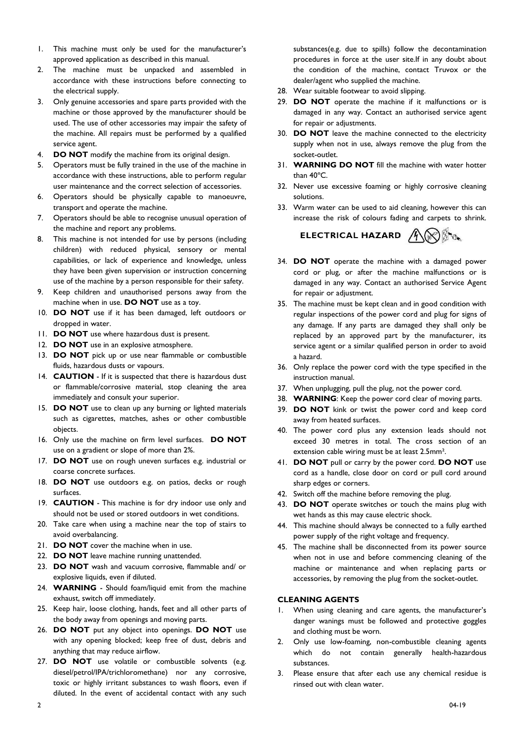- 1. This machine must only be used for the manufacturer's approved application as described in this manual.
- 2. The machine must be unpacked and assembled in accordance with these instructions before connecting to the electrical supply.
- 3. Only genuine accessories and spare parts provided with the machine or those approved by the manufacturer should be used. The use of other accessories may impair the safety of the machine. All repairs must be performed by a qualified service agent.
- 4. **DO NOT** modify the machine from its original design.
- 5. Operators must be fully trained in the use of the machine in accordance with these instructions, able to perform regular user maintenance and the correct selection of accessories.
- 6. Operators should be physically capable to manoeuvre, transport and operate the machine.
- 7. Operators should be able to recognise unusual operation of the machine and report any problems.
- 8. This machine is not intended for use by persons (including children) with reduced physical, sensory or mental capabilities, or lack of experience and knowledge, unless they have been given supervision or instruction concerning use of the machine by a person responsible for their safety.
- 9. Keep children and unauthorised persons away from the machine when in use. **DO NOT** use as a toy.
- 10. **DO NOT** use if it has been damaged, left outdoors or dropped in water.
- 11. **DO NOT** use where hazardous dust is present.
- 12. **DO NOT** use in an explosive atmosphere.
- 13. **DO NOT** pick up or use near flammable or combustible fluids, hazardous dusts or vapours.
- 14. **CAUTION** If it is suspected that there is hazardous dust or flammable/corrosive material, stop cleaning the area immediately and consult your superior.
- 15. **DO NOT** use to clean up any burning or lighted materials such as cigarettes, matches, ashes or other combustible objects.
- 16. Only use the machine on firm level surfaces. **DO NOT** use on a gradient or slope of more than 2%.
- 17. **DO NOT** use on rough uneven surfaces e.g. industrial or coarse concrete surfaces.
- 18. **DO NOT** use outdoors e.g. on patios, decks or rough surfaces.
- 19. **CAUTION** This machine is for dry indoor use only and should not be used or stored outdoors in wet conditions.
- 20. Take care when using a machine near the top of stairs to avoid overbalancing.
- 21. **DO NOT** cover the machine when in use.
- 22. **DO NOT** leave machine running unattended.
- 23. **DO NOT** wash and vacuum corrosive, flammable and/ or explosive liquids, even if diluted.
- 24. **WARNING** Should foam/liquid emit from the machine exhaust, switch off immediately.
- 25. Keep hair, loose clothing, hands, feet and all other parts of the body away from openings and moving parts.
- 26. **DO NOT** put any object into openings. **DO NOT** use with any opening blocked; keep free of dust, debris and anything that may reduce airflow.
- 27. **DO NOT** use volatile or combustible solvents (e.g. diesel/petrol/IPA/trichloromethane) nor any corrosive, toxic or highly irritant substances to wash floors, even if diluted. In the event of accidental contact with any such

substances(e.g. due to spills) follow the decontamination procedures in force at the user site.If in any doubt about the condition of the machine, contact Truvox or the dealer/agent who supplied the machine.

- 28. Wear suitable footwear to avoid slipping.
- 29. **DO NOT** operate the machine if it malfunctions or is damaged in any way. Contact an authorised service agent for repair or adjustments.
- 30. **DO NOT** leave the machine connected to the electricity supply when not in use, always remove the plug from the socket-outlet.
- 31. **WARNING DO NOT** fill the machine with water hotter than 40ºC.
- 32. Never use excessive foaming or highly corrosive cleaning solutions.
- 33. Warm water can be used to aid cleaning, however this can increase the risk of colours fading and carpets to shrink.



- 34. **DO NOT** operate the machine with a damaged power cord or plug, or after the machine malfunctions or is damaged in any way. Contact an authorised Service Agent for repair or adjustment.
- 35. The machine must be kept clean and in good condition with regular inspections of the power cord and plug for signs of any damage. If any parts are damaged they shall only be replaced by an approved part by the manufacturer, its service agent or a similar qualified person in order to avoid a hazard.
- 36. Only replace the power cord with the type specified in the instruction manual.
- 37. When unplugging, pull the plug, not the power cord.
- 38. **WARNING**: Keep the power cord clear of moving parts.
- 39. **DO NOT** kink or twist the power cord and keep cord away from heated surfaces.
- 40. The power cord plus any extension leads should not exceed 30 metres in total. The cross section of an extension cable wiring must be at least 2.5mm².
- 41. **DO NOT** pull or carry by the power cord. **DO NOT** use cord as a handle, close door on cord or pull cord around sharp edges or corners.
- 42. Switch off the machine before removing the plug.
- 43. **DO NOT** operate switches or touch the mains plug with wet hands as this may cause electric shock.
- 44. This machine should always be connected to a fully earthed power supply of the right voltage and frequency.
- 45. The machine shall be disconnected from its power source when not in use and before commencing cleaning of the machine or maintenance and when replacing parts or accessories, by removing the plug from the socket-outlet.

#### **CLEANING AGENTS**

- 1. When using cleaning and care agents, the manufacturer's danger wanings must be followed and protective goggles and clothing must be worn.
- 2. Only use low-foaming, non-combustible cleaning agents which do not contain generally health-hazardous substances.
- 3. Please ensure that after each use any chemical residue is rinsed out with clean water.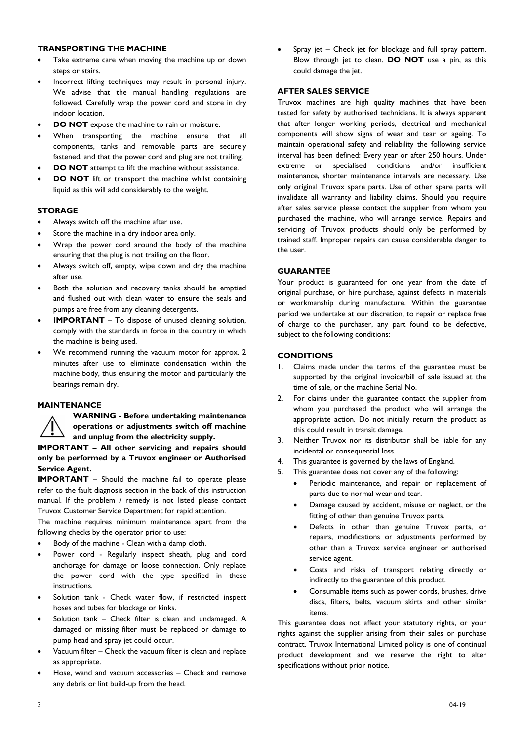#### **TRANSPORTING THE MACHINE**

- Take extreme care when moving the machine up or down steps or stairs.
- Incorrect lifting techniques may result in personal injury. We advise that the manual handling regulations are followed. Carefully wrap the power cord and store in dry indoor location.
- **DO NOT** expose the machine to rain or moisture.
- When transporting the machine ensure that all components, tanks and removable parts are securely fastened, and that the power cord and plug are not trailing.
- **DO NOT** attempt to lift the machine without assistance.
- **DO NOT** lift or transport the machine whilst containing liquid as this will add considerably to the weight.

#### **STORAGE**

- Always switch off the machine after use.
- Store the machine in a dry indoor area only.
- Wrap the power cord around the body of the machine ensuring that the plug is not trailing on the floor.
- Always switch off, empty, wipe down and dry the machine after use.
- Both the solution and recovery tanks should be emptied and flushed out with clean water to ensure the seals and pumps are free from any cleaning detergents.
- **IMPORTANT** To dispose of unused cleaning solution, comply with the standards in force in the country in which the machine is being used.
- We recommend running the vacuum motor for approx. 2 minutes after use to eliminate condensation within the machine body, thus ensuring the motor and particularly the bearings remain dry.

#### **MAINTENANCE**

**WARNING - Before undertaking maintenance operations or adjustments switch off machine and unplug from the electricity supply.**

**IMPORTANT – All other servicing and repairs should only be performed by a Truvox engineer or Authorised Service Agent.**

**IMPORTANT** – Should the machine fail to operate please refer to the fault diagnosis section in the back of this instruction manual. If the problem / remedy is not listed please contact Truvox Customer Service Department for rapid attention.

The machine requires minimum maintenance apart from the following checks by the operator prior to use:

- Body of the machine Clean with a damp cloth.
- Power cord Regularly inspect sheath, plug and cord anchorage for damage or loose connection. Only replace the power cord with the type specified in these instructions.
- Solution tank Check water flow, if restricted inspect hoses and tubes for blockage or kinks.
- Solution tank Check filter is clean and undamaged. A damaged or missing filter must be replaced or damage to pump head and spray jet could occur.
- Vacuum filter Check the vacuum filter is clean and replace as appropriate.
- Hose, wand and vacuum accessories Check and remove any debris or lint build-up from the head.

 Spray jet – Check jet for blockage and full spray pattern. Blow through jet to clean. **DO NOT** use a pin, as this could damage the jet.

#### **AFTER SALES SERVICE**

Truvox machines are high quality machines that have been tested for safety by authorised technicians. It is always apparent that after longer working periods, electrical and mechanical components will show signs of wear and tear or ageing. To maintain operational safety and reliability the following service interval has been defined: Every year or after 250 hours. Under extreme or specialised conditions and/or insufficient maintenance, shorter maintenance intervals are necessary. Use only original Truvox spare parts. Use of other spare parts will invalidate all warranty and liability claims. Should you require after sales service please contact the supplier from whom you purchased the machine, who will arrange service. Repairs and servicing of Truvox products should only be performed by trained staff. Improper repairs can cause considerable danger to the user.

#### **GUARANTEE**

Your product is guaranteed for one year from the date of original purchase, or hire purchase, against defects in materials or workmanship during manufacture. Within the guarantee period we undertake at our discretion, to repair or replace free of charge to the purchaser, any part found to be defective, subject to the following conditions:

#### **CONDITIONS**

- 1. Claims made under the terms of the guarantee must be supported by the original invoice/bill of sale issued at the time of sale, or the machine Serial No.
- 2. For claims under this guarantee contact the supplier from whom you purchased the product who will arrange the appropriate action. Do not initially return the product as this could result in transit damage.
- 3. Neither Truvox nor its distributor shall be liable for any incidental or consequential loss.
- 4. This guarantee is governed by the laws of England.
- 5. This guarantee does not cover any of the following:
	- Periodic maintenance, and repair or replacement of parts due to normal wear and tear.
	- Damage caused by accident, misuse or neglect, or the fitting of other than genuine Truvox parts.
	- Defects in other than genuine Truvox parts, or repairs, modifications or adjustments performed by other than a Truvox service engineer or authorised service agent.
	- Costs and risks of transport relating directly or indirectly to the guarantee of this product.
	- Consumable items such as power cords, brushes, drive discs, filters, belts, vacuum skirts and other similar items.

This guarantee does not affect your statutory rights, or your rights against the supplier arising from their sales or purchase contract. Truvox International Limited policy is one of continual product development and we reserve the right to alter specifications without prior notice.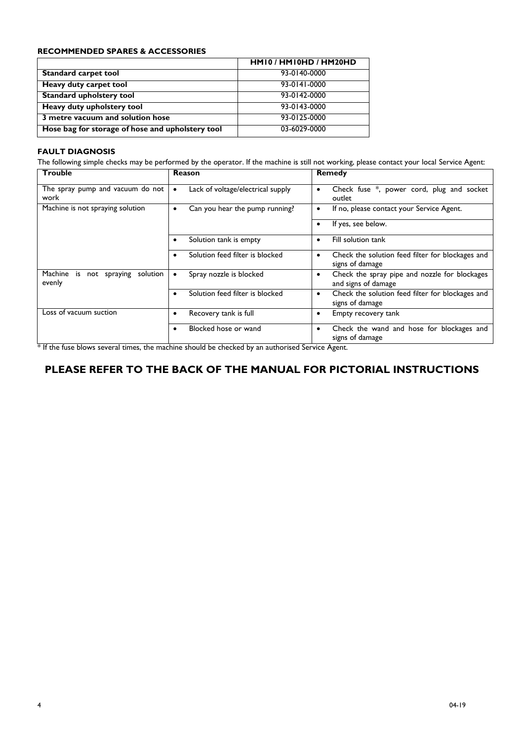#### **RECOMMENDED SPARES & ACCESSORIES**

|                                                  | HM10/HM10HD/HM20HD |
|--------------------------------------------------|--------------------|
| <b>Standard carpet tool</b>                      | 93-0140-0000       |
| Heavy duty carpet tool                           | 93-0141-0000       |
| Standard upholstery tool                         | 93-0142-0000       |
| Heavy duty upholstery tool                       | 93-0143-0000       |
| 3 metre vacuum and solution hose                 | 93-0125-0000       |
| Hose bag for storage of hose and upholstery tool | 03-6029-0000       |

#### **FAULT DIAGNOSIS**

The following simple checks may be performed by the operator. If the machine is still not working, please contact your local Service Agent:

| <b>Trouble</b>                                | <b>Reason</b>                                  | <b>Remedy</b>                                                             |  |
|-----------------------------------------------|------------------------------------------------|---------------------------------------------------------------------------|--|
| The spray pump and vacuum do not<br>work      | Lack of voltage/electrical supply<br>$\bullet$ | Check fuse *, power cord, plug and socket<br>٠<br>outlet                  |  |
| Machine is not spraying solution              | Can you hear the pump running?<br>٠            | If no, please contact your Service Agent.<br>٠                            |  |
|                                               |                                                | If yes, see below.<br>٠                                                   |  |
|                                               | Solution tank is empty<br>٠                    | Fill solution tank<br>٠                                                   |  |
|                                               | Solution feed filter is blocked                | Check the solution feed filter for blockages and<br>٠<br>signs of damage  |  |
| Machine is not spraying<br>solution<br>evenly | Spray nozzle is blocked<br>٠                   | Check the spray pipe and nozzle for blockages<br>٠<br>and signs of damage |  |
|                                               | Solution feed filter is blocked<br>٠           | Check the solution feed filter for blockages and<br>٠<br>signs of damage  |  |
| Loss of vacuum suction                        | Recovery tank is full<br>٠                     | Empty recovery tank<br>٠                                                  |  |
|                                               | Blocked hose or wand                           | Check the wand and hose for blockages and<br>٠<br>signs of damage         |  |

\* If the fuse blows several times, the machine should be checked by an authorised Service Agent.

### **PLEASE REFER TO THE BACK OF THE MANUAL FOR PICTORIAL INSTRUCTIONS**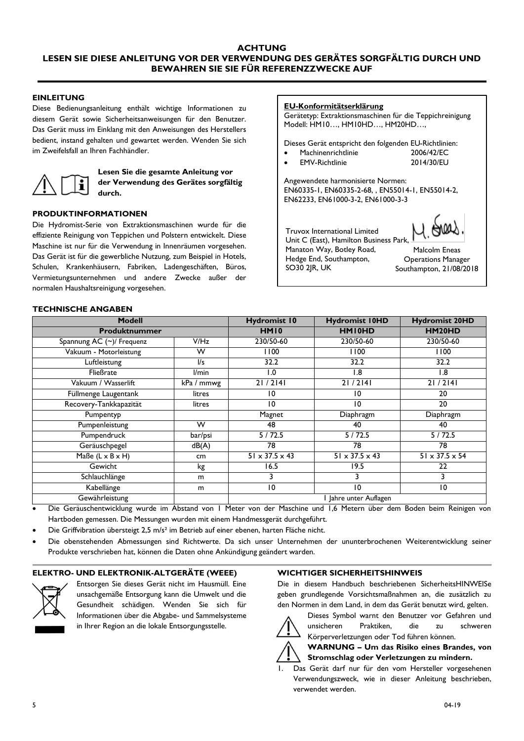#### **ACHTUNG LESEN SIE DIESE ANLEITUNG VOR DER VERWENDUNG DES GERÄTES SORGFÄLTIG DURCH UND BEWAHREN SIE SIE FÜR REFERENZZWECKE AUF**

#### **EINLEITUNG**

Diese Bedienungsanleitung enthält wichtige Informationen zu diesem Gerät sowie Sicherheitsanweisungen für den Benutzer. Das Gerät muss im Einklang mit den Anweisungen des Herstellers bedient, instand gehalten und gewartet werden. Wenden Sie sich im Zweifelsfall an Ihren Fachhändler.



**Lesen Sie die gesamte Anleitung vor der Verwendung des Gerätes sorgfältig durch.**

#### **PRODUKTINFORMATIONEN**

Die Hydromist-Serie von Extraktionsmaschinen wurde für die effiziente Reinigung von Teppichen und Polstern entwickelt. Diese Maschine ist nur für die Verwendung in Innenräumen vorgesehen. Das Gerät ist für die gewerbliche Nutzung, zum Beispiel in Hotels, Schulen, Krankenhäusern, Fabriken, Ladengeschäften, Büros, Vermietungsunternehmen und andere Zwecke außer der normalen Haushaltsreinigung vorgesehen.

#### **EU-Konformitätserklärung**

Gerätetyp: Extraktionsmaschinen für die Teppichreinigung Modell: HM10…, HM10HD…, HM20HD…,

Dieses Gerät entspricht den folgenden EU-Richtlinien:

- Machinenrichtlinie 2006/42/EC
- EMV-Richtlinie 2014/30/EU

Angewendete harmonisierte Normen: EN60335-1, EN60335-2-68, , EN55014-1, EN55014-2, EN62233, EN61000-3-2, EN61000-3-3

Truvox International Limited Unit C (East), Hamilton Business Parl Manaton Way, Botley Road, Hedge End, Southampton, SO30 2JR, UK

1. Sneet Malcolm Eneas Operations Manager Southampton, 21/08/2018

#### **TECHNISCHE ANGABEN**

| <b>Modell</b>                |            | <b>Hydromist 10</b>        | <b>Hydromist I0HD</b>      | <b>Hydromist 20HD</b>      |
|------------------------------|------------|----------------------------|----------------------------|----------------------------|
| Produktnummer                |            | <b>HM10</b>                | HM10HD                     | HM20HD                     |
| Spannung AC (~)/ Frequenz    | V/Hz       | 230/50-60                  | 230/50-60                  | 230/50-60                  |
| Vakuum - Motorleistung       | W          | I I 00                     | I 100                      | 1100                       |
| Luftleistung                 | $\sqrt{s}$ | 32.2                       | 32.2                       | 32.2                       |
| Fließrate                    | l/min      | 1.0                        | 1.8                        | 1.8                        |
| Vakuum / Wasserlift          | kPa / mmwg | 21/2141                    | 21/2141                    | 21/2141                    |
| Füllmenge Laugentank         | litres     | 10                         | 10                         | 20                         |
| Recovery-Tankkapazität       | litres     | 10                         | 10                         | 20                         |
| Pumpentyp                    |            | Magnet                     | Diaphragm                  | Diaphragm                  |
| Pumpenleistung               | W          | 48                         | 40                         | 40                         |
| Pumpendruck                  | bar/psi    | 5/72.5                     | 5/72.5                     | 5/72.5                     |
| Geräuschpegel                | dB(A)      | 78                         | 78                         | 78                         |
| Maße $(L \times B \times H)$ | cm         | $51 \times 37.5 \times 43$ | $51 \times 37.5 \times 43$ | $51 \times 37.5 \times 54$ |
| Gewicht                      | kg         | 16.5                       | 19.5                       | 22                         |
| Schlauchlänge                | m          | 3                          |                            | 3                          |
| Kabellänge                   | m          | 10                         | 10                         | 10                         |
| Gewährleistung               |            |                            | Jahre unter Auflagen       |                            |

Die Geräuschentwicklung wurde im Abstand von I Meter von der Maschine und 1,6 Metern über dem Boden beim Reinigen von Hartboden gemessen. Die Messungen wurden mit einem Handmessgerät durchgeführt.

Die Griffvibration übersteigt 2,5 m/s<sup>2</sup> im Betrieb auf einer ebenen, harten Fläche nicht.

 Die obenstehenden Abmessungen sind Richtwerte. Da sich unser Unternehmen der ununterbrochenen Weiterentwicklung seiner Produkte verschrieben hat, können die Daten ohne Ankündigung geändert warden.

#### **ELEKTRO- UND ELEKTRONIK-ALTGERÄTE (WEEE)**



Entsorgen Sie dieses Gerät nicht im Hausmüll. Eine unsachgemäße Entsorgung kann die Umwelt und die Gesundheit schädigen. Wenden Sie sich für Informationen über die Abgabe- und Sammelsysteme in Ihrer Region an die lokale Entsorgungsstelle.

#### **WICHTIGER SICHERHEITSHINWEIS**

Die in diesem Handbuch beschriebenen SicherheitsHINWEISe geben grundlegende Vorsichtsmaßnahmen an, die zusätzlich zu den Normen in dem Land, in dem das Gerät benutzt wird, gelten.



Dieses Symbol warnt den Benutzer vor Gefahren und unsicheren Praktiken, die zu schweren Körperverletzungen oder Tod führen können.

**WARNUNG – Um das Risiko eines Brandes, von Stromschlag oder Verletzungen zu mindern.**

Das Gerät darf nur für den vom Hersteller vorgesehenen Verwendungszweck, wie in dieser Anleitung beschrieben, verwendet werden.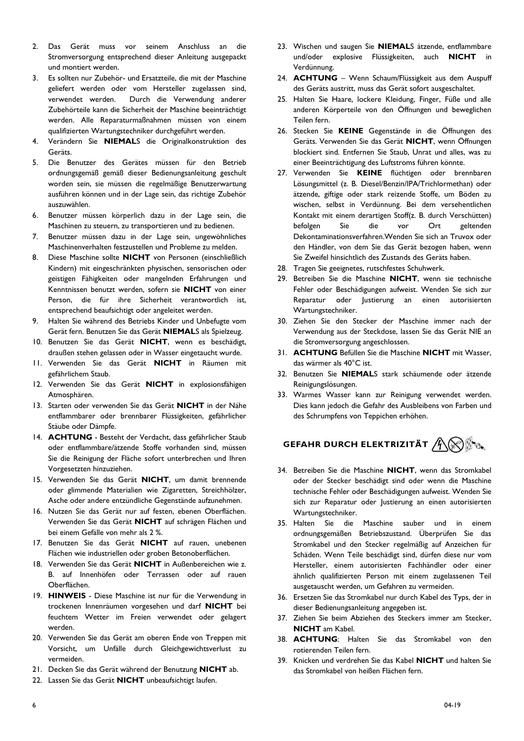- 2. Das Gerät muss vor seinem Anschluss an die Stromversorgung entsprechend dieser Anleitung ausgepackt und montiert werden.
- 3. Es sollten nur Zubehör- und Ersatzteile, die mit der Maschine geliefert werden oder vom Hersteller zugelassen sind, verwendet werden. Durch die Verwendung anderer Zubehörteile kann die Sicherheit der Maschine beeinträchtigt werden. Alle Reparaturmaßnahmen müssen von einem qualifizierten Wartungstechniker durchgeführt werden.
- 4. Verändern Sie **NIEMAL**S die Originalkonstruktion des Geräts.
- 5. Die Benutzer des Gerätes müssen für den Betrieb ordnungsgemäß gemäß dieser Bedienungsanleitung geschult worden sein, sie müssen die regelmäßige Benutzerwartung ausführen können und in der Lage sein, das richtige Zubehör auszuwählen.
- 6. Benutzer müssen körperlich dazu in der Lage sein, die Maschinen zu steuern, zu transportieren und zu bedienen.
- 7. Benutzer müssen dazu in der Lage sein, ungewöhnliches Maschinenverhalten festzustellen und Probleme zu melden.
- 8. Diese Maschine sollte **NICHT** von Personen (einschließlich Kindern) mit eingeschränkten physischen, sensorischen oder geistigen Fähigkeiten oder mangelnden Erfahrungen und Kenntnissen benutzt werden, sofern sie **NICHT** von einer Person, die für ihre Sicherheit verantwortlich ist, entsprechend beaufsichtigt oder angeleitet werden.
- 9. Halten Sie während des Betriebs Kinder und Unbefugte vom Gerät fern. Benutzen Sie das Gerät **NIEMAL**S als Spielzeug.
- 10. Benutzen Sie das Gerät **NICHT**, wenn es beschädigt, draußen stehen gelassen oder in Wasser eingetaucht wurde.
- 11. Verwenden Sie das Gerät **NICHT** in Räumen mit gefährlichem Staub.
- 12. Verwenden Sie das Gerät **NICHT** in explosionsfähigen Atmosphären.
- 13. Starten oder verwenden Sie das Gerät **NICHT** in der Nähe entflammbarer oder brennbarer Flüssigkeiten, gefährlicher Stäube oder Dämpfe.
- 14. **ACHTUNG** Besteht der Verdacht, dass gefährlicher Staub oder entflammbare/ätzende Stoffe vorhanden sind, müssen Sie die Reinigung der Fläche sofort unterbrechen und Ihren Vorgesetzten hinzuziehen.
- 15. Verwenden Sie das Gerät **NICHT**, um damit brennende oder glimmende Materialien wie Zigaretten, Streichhölzer, Asche oder andere entzündliche Gegenstände aufzunehmen.
- 16. Nutzen Sie das Gerät nur auf festen, ebenen Oberflächen. Verwenden Sie das Gerät **NICHT** auf schrägen Flächen und bei einem Gefälle von mehr als 2 %.
- 17. Benutzen Sie das Gerät **NICHT** auf rauen, unebenen Flächen wie industriellen oder groben Betonoberflächen.
- 18. Verwenden Sie das Gerät **NICHT** in Außenbereichen wie z. B. auf Innenhöfen oder Terrassen oder auf rauen Oberflächen.
- 19. **HINWEIS** Diese Maschine ist nur für die Verwendung in trockenen Innenräumen vorgesehen und darf **NICHT** bei feuchtem Wetter im Freien verwendet oder gelagert werden.
- 20. Verwenden Sie das Gerät am oberen Ende von Treppen mit Vorsicht, um Unfälle durch Gleichgewichtsverlust zu vermeiden.
- 21. Decken Sie das Gerät während der Benutzung **NICHT** ab.
- 22. Lassen Sie das Gerät **NICHT** unbeaufsichtigt laufen.
- 23. Wischen und saugen Sie **NIEMAL**S ätzende, entflammbare und/oder explosive Flüssigkeiten, auch **NICHT** in Verdünnung.
- 24. **ACHTUNG** Wenn Schaum/Flüssigkeit aus dem Auspuff des Geräts austritt, muss das Gerät sofort ausgeschaltet.
- 25. Halten Sie Haare, lockere Kleidung, Finger, Füße und alle anderen Körperteile von den Öffnungen und beweglichen Teilen fern.
- 26. Stecken Sie **KEINE** Gegenstände in die Öffnungen des Geräts. Verwenden Sie das Gerät **NICHT**, wenn Öffnungen blockiert sind. Entfernen Sie Staub, Unrat und alles, was zu einer Beeinträchtigung des Luftstroms führen könnte.
- 27. Verwenden Sie **KEINE** flüchtigen oder brennbaren Lösungsmittel (z. B. Diesel/Benzin/IPA/Trichlormethan) oder ätzende, giftige oder stark reizende Stoffe, um Böden zu wischen, selbst in Verdünnung. Bei dem versehentlichen Kontakt mit einem derartigen Stoff(z. B. durch Verschütten) befolgen Sie die vor Ort geltenden Dekontaminationsverfahren.Wenden Sie sich an Truvox oder den Händler, von dem Sie das Gerät bezogen haben, wenn Sie Zweifel hinsichtlich des Zustands des Geräts haben.
- 28. Tragen Sie geeignetes, rutschfestes Schuhwerk.
- 29. Betreiben Sie die Maschine **NICHT**, wenn sie technische Fehler oder Beschädigungen aufweist. Wenden Sie sich zur Reparatur oder Justierung an einen autorisierten Wartungstechniker.
- 30. Ziehen Sie den Stecker der Maschine immer nach der Verwendung aus der Steckdose, lassen Sie das Gerät NIE an die Stromversorgung angeschlossen.
- 31. **ACHTUNG** Befüllen Sie die Maschine **NICHT** mit Wasser, das wärmer als 40°C ist.
- 32. Benutzen Sie **NIEMAL**S stark schäumende oder ätzende Reinigungslösungen.
- 33. Warmes Wasser kann zur Reinigung verwendet werden. Dies kann jedoch die Gefahr des Ausbleibens von Farben und des Schrumpfens von Teppichen erhöhen.

## **GEFAHR DURCH ELEKTRIZITÄT**  $\mathcal{A}\otimes\mathbb{S}$

- 34. Betreiben Sie die Maschine **NICHT**, wenn das Stromkabel oder der Stecker beschädigt sind oder wenn die Maschine technische Fehler oder Beschädigungen aufweist. Wenden Sie sich zur Reparatur oder Justierung an einen autorisierten Wartungstechniker.
- 35. Halten Sie die Maschine sauber und in einem ordnungsgemäßen Betriebszustand. Überprüfen Sie das Stromkabel und den Stecker regelmäßig auf Anzeichen für Schäden. Wenn Teile beschädigt sind, dürfen diese nur vom Hersteller, einem autorisierten Fachhändler oder einer ähnlich qualifizierten Person mit einem zugelassenen Teil ausgetauscht werden, um Gefahren zu vermeiden.
- 36. Ersetzen Sie das Stromkabel nur durch Kabel des Typs, der in dieser Bedienungsanleitung angegeben ist.
- 37. Ziehen Sie beim Abziehen des Steckers immer am Stecker, **NICHT** am Kabel.
- 38. **ACHTUNG**: Halten Sie das Stromkabel von den rotierenden Teilen fern.
- 39. Knicken und verdrehen Sie das Kabel **NICHT** und halten Sie das Stromkabel von heißen Flächen fern.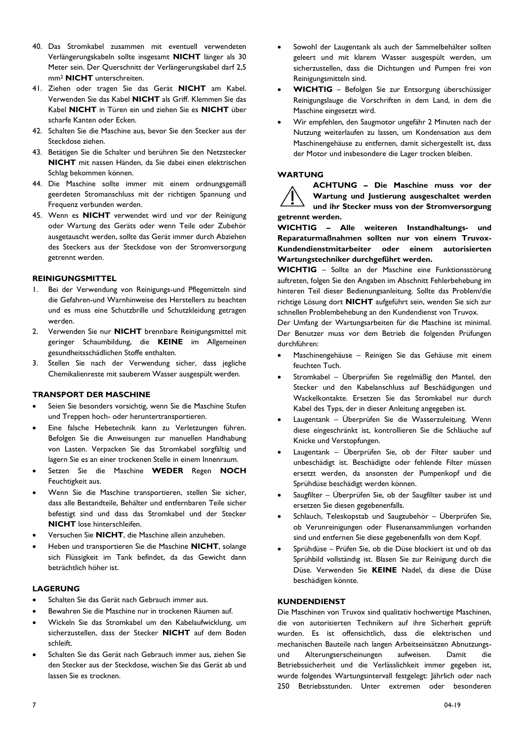- 40. Das Stromkabel zusammen mit eventuell verwendeten Verlängerungskabeln sollte insgesamt **NICHT** länger als 30 Meter sein. Der Querschnitt der Verlängerungskabel darf 2,5 mm<sup>2</sup> **NICHT** unterschreiten.
- 41. Ziehen oder tragen Sie das Gerät **NICHT** am Kabel. Verwenden Sie das Kabel **NICHT** als Griff. Klemmen Sie das Kabel **NICHT** in Türen ein und ziehen Sie es **NICHT** über scharfe Kanten oder Ecken.
- 42. Schalten Sie die Maschine aus, bevor Sie den Stecker aus der Steckdose ziehen.
- 43. Betätigen Sie die Schalter und berühren Sie den Netzstecker **NICHT** mit nassen Händen, da Sie dabei einen elektrischen Schlag bekommen können.
- 44. Die Maschine sollte immer mit einem ordnungsgemäß geerdeten Stromanschluss mit der richtigen Spannung und Frequenz verbunden werden.
- 45. Wenn es **NICHT** verwendet wird und vor der Reinigung oder Wartung des Geräts oder wenn Teile oder Zubehör ausgetauscht werden, sollte das Gerät immer durch Abziehen des Steckers aus der Steckdose von der Stromversorgung getrennt werden.

#### **REINIGUNGSMITTEL**

- 1. Bei der Verwendung von Reinigungs-und Pflegemitteln sind die Gefahren-und Warnhinweise des Herstellers zu beachten und es muss eine Schutzbrille und Schutzkleidung getragen werden.
- 2. Verwenden Sie nur **NICHT** brennbare Reinigungsmittel mit geringer Schaumbildung, die **KEINE** im Allgemeinen gesundheitsschädlichen Stoffe enthalten.
- 3. Stellen Sie nach der Verwendung sicher, dass jegliche Chemikalienreste mit sauberem Wasser ausgespült werden.

#### **TRANSPORT DER MASCHINE**

- Seien Sie besonders vorsichtig, wenn Sie die Maschine Stufen und Treppen hoch- oder heruntertransportieren.
- Eine falsche Hebetechnik kann zu Verletzungen führen. Befolgen Sie die Anweisungen zur manuellen Handhabung von Lasten. Verpacken Sie das Stromkabel sorgfältig und lagern Sie es an einer trockenen Stelle in einem Innenraum.
- Setzen Sie die Maschine **WEDER** Regen **NOCH**  Feuchtigkeit aus.
- Wenn Sie die Maschine transportieren, stellen Sie sicher, dass alle Bestandteile, Behälter und entfernbaren Teile sicher befestigt sind und dass das Stromkabel und der Stecker **NICHT** lose hinterschleifen.
- Versuchen Sie **NICHT**, die Maschine allein anzuheben.
- Heben und transportieren Sie die Maschine **NICHT**, solange sich Flüssigkeit im Tank befindet, da das Gewicht dann beträchtlich höher ist.

#### **LAGERUNG**

- Schalten Sie das Gerät nach Gebrauch immer aus.
- Bewahren Sie die Maschine nur in trockenen Räumen auf.
- Wickeln Sie das Stromkabel um den Kabelaufwicklung, um sicherzustellen, dass der Stecker **NICHT** auf dem Boden schleift.
- Schalten Sie das Gerät nach Gebrauch immer aus, ziehen Sie den Stecker aus der Steckdose, wischen Sie das Gerät ab und lassen Sie es trocknen.
- Sowohl der Laugentank als auch der Sammelbehälter sollten geleert und mit klarem Wasser ausgespült werden, um sicherzustellen, dass die Dichtungen und Pumpen frei von Reinigungsmitteln sind.
- **WICHTIG** Befolgen Sie zur Entsorgung überschüssiger Reinigungslauge die Vorschriften in dem Land, in dem die Maschine eingesetzt wird.
- Wir empfehlen, den Saugmotor ungefähr 2 Minuten nach der Nutzung weiterlaufen zu lassen, um Kondensation aus dem Maschinengehäuse zu entfernen, damit sichergestellt ist, dass der Motor und insbesondere die Lager trocken bleiben.

#### **WARTUNG**

**ACHTUNG – Die Maschine muss vor der Wartung und Justierung ausgeschaltet werden und ihr Stecker muss von der Stromversorgung getrennt werden.**

**WICHTIG – Alle weiteren Instandhaltungs- und Reparaturmaßnahmen sollten nur von einem Truvox-Kundendienstmitarbeiter oder einem autorisierten Wartungstechniker durchgeführt werden.**

**WICHTIG** – Sollte an der Maschine eine Funktionsstörung auftreten, folgen Sie den Angaben im Abschnitt Fehlerbehebung im hinteren Teil dieser Bedienungsanleitung. Sollte das Problem/die richtige Lösung dort **NICHT** aufgeführt sein, wenden Sie sich zur schnellen Problembehebung an den Kundendienst von Truvox.

Der Umfang der Wartungsarbeiten für die Maschine ist minimal. Der Benutzer muss vor dem Betrieb die folgenden Prüfungen durchführen:

- Maschinengehäuse Reinigen Sie das Gehäuse mit einem feuchten Tuch.
- Stromkabel Überprüfen Sie regelmäßig den Mantel, den Stecker und den Kabelanschluss auf Beschädigungen und Wackelkontakte. Ersetzen Sie das Stromkabel nur durch Kabel des Typs, der in dieser Anleitung angegeben ist.
- Laugentank Überprüfen Sie die Wasserzuleitung. Wenn diese eingeschränkt ist, kontrollieren Sie die Schläuche auf Knicke und Verstopfungen.
- Laugentank Überprüfen Sie, ob der Filter sauber und unbeschädigt ist. Beschädigte oder fehlende Filter müssen ersetzt werden, da ansonsten der Pumpenkopf und die Sprühdüse beschädigt werden können.
- Saugfilter Überprüfen Sie, ob der Saugfilter sauber ist und ersetzen Sie diesen gegebenenfalls.
- Schlauch, Teleskopstab und Saugzubehör Überprüfen Sie, ob Verunreinigungen oder Flusenansammlungen vorhanden sind und entfernen Sie diese gegebenenfalls von dem Kopf.
- Sprühdüse Prüfen Sie, ob die Düse blockiert ist und ob das Sprühbild vollständig ist. Blasen Sie zur Reinigung durch die Düse. Verwenden Sie **KEINE** Nadel, da diese die Düse beschädigen könnte.

#### **KUNDENDIENST**

Die Maschinen von Truvox sind qualitativ hochwertige Maschinen, die von autorisierten Technikern auf ihre Sicherheit geprüft wurden. Es ist offensichtlich, dass die elektrischen und mechanischen Bauteile nach langen Arbeitseinsätzen Abnutzungsund Alterungserscheinungen aufweisen. Damit die Betriebssicherheit und die Verlässlichkeit immer gegeben ist, wurde folgendes Wartungsintervall festgelegt: Jährlich oder nach 250 Betriebsstunden. Unter extremen oder besonderen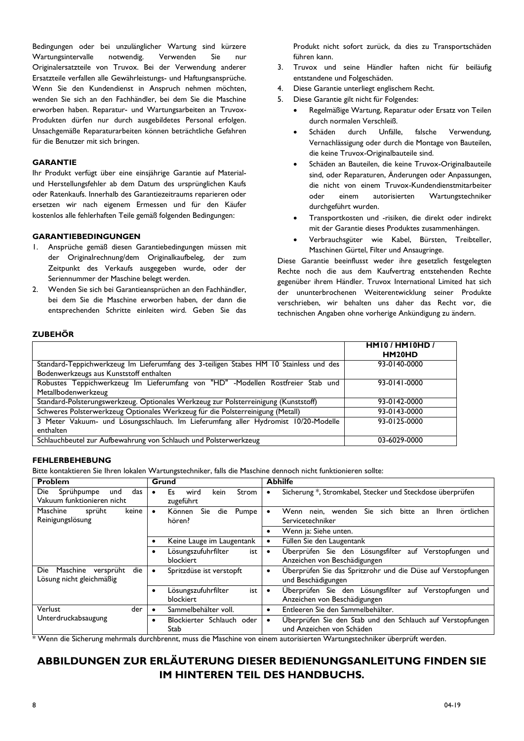Bedingungen oder bei unzulänglicher Wartung sind kürzere Wartungsintervalle notwendig. Verwenden Sie nur Originalersatzteile von Truvox. Bei der Verwendung anderer Ersatzteile verfallen alle Gewährleistungs- und Haftungsansprüche. Wenn Sie den Kundendienst in Anspruch nehmen möchten, wenden Sie sich an den Fachhändler, bei dem Sie die Maschine erworben haben. Reparatur- und Wartungsarbeiten an Truvox-Produkten dürfen nur durch ausgebildetes Personal erfolgen. Unsachgemäße Reparaturarbeiten können beträchtliche Gefahren für die Benutzer mit sich bringen.

#### **GARANTIE**

Ihr Produkt verfügt über eine einsjährige Garantie auf Materialund Herstellungsfehler ab dem Datum des ursprünglichen Kaufs oder Ratenkaufs. Innerhalb des Garantiezeitraums reparieren oder ersetzen wir nach eigenem Ermessen und für den Käufer kostenlos alle fehlerhaften Teile gemäß folgenden Bedingungen:

#### **GARANTIEBEDINGUNGEN**

- 1. Ansprüche gemäß diesen Garantiebedingungen müssen mit der Originalrechnung/dem Originalkaufbeleg, der zum Zeitpunkt des Verkaufs ausgegeben wurde, oder der Seriennummer der Maschine belegt werden.
- 2. Wenden Sie sich bei Garantieansprüchen an den Fachhändler, bei dem Sie die Maschine erworben haben, der dann die entsprechenden Schritte einleiten wird. Geben Sie das

Produkt nicht sofort zurück, da dies zu Transportschäden führen kann.

- 3. Truvox und seine Händler haften nicht für beiläufig entstandene und Folgeschäden.
- 4. Diese Garantie unterliegt englischem Recht.
- 5. Diese Garantie gilt nicht für Folgendes:
	- Regelmäßige Wartung, Reparatur oder Ersatz von Teilen durch normalen Verschleiß.
	- Schäden durch Unfälle, falsche Verwendung, Vernachlässigung oder durch die Montage von Bauteilen, die keine Truvox-Originalbauteile sind.
	- Schäden an Bauteilen, die keine Truvox-Originalbauteile sind, oder Reparaturen, Änderungen oder Anpassungen, die nicht von einem Truvox-Kundendienstmitarbeiter oder einem autorisierten Wartungstechniker durchgeführt wurden.
	- Transportkosten und -risiken, die direkt oder indirekt mit der Garantie dieses Produktes zusammenhängen.
	- Verbrauchsgüter wie Kabel, Bürsten, Treibteller, Maschinen Gürtel, Filter und Ansaugringe.

Diese Garantie beeinflusst weder ihre gesetzlich festgelegten Rechte noch die aus dem Kaufvertrag entstehenden Rechte gegenüber ihrem Händler. Truvox International Limited hat sich der ununterbrochenen Weiterentwicklung seiner Produkte verschrieben, wir behalten uns daher das Recht vor, die technischen Angaben ohne vorherige Ankündigung zu ändern.

#### **ZUBEHÖR**

|                                                                                        | HM10/HM10HD<br>HM20HD |
|----------------------------------------------------------------------------------------|-----------------------|
| Standard-Teppichwerkzeug Im Lieferumfang des 3-teiligen Stabes HM 10 Stainless und des | 93-0140-0000          |
| Bodenwerkzeugs aus Kunststoff enthalten                                                |                       |
| Robustes Teppichwerkzeug Im Lieferumfang von "HD" -Modellen Rostfreier Stab und        | 93-0141-0000          |
| Metallbodenwerkzeug                                                                    |                       |
| Standard-Polsterungswerkzeug. Optionales Werkzeug zur Polsterreinigung (Kunststoff)    | 93-0142-0000          |
| Schweres Polsterwerkzeug Optionales Werkzeug für die Polsterreinigung (Metall)         | 93-0143-0000          |
| 3 Meter Vakuum- und Lösungsschlauch. Im Lieferumfang aller Hydromist 10/20-Modelle     | 93-0125-0000          |
| enthalten                                                                              |                       |
| Schlauchbeutel zur Aufbewahrung von Schlauch und Polsterwerkzeug                       | 03-6029-0000          |

#### **FEHLERBEHEBUNG**

Bitte kontaktieren Sie Ihren lokalen Wartungstechniker, falls die Maschine dennoch nicht funktionieren sollte:

| Problem                             | Grund                                      | <b>Abhilfe</b>                                                                     |
|-------------------------------------|--------------------------------------------|------------------------------------------------------------------------------------|
| Sprühpumpe<br>Die<br>und<br>das     | Es<br>wird<br>Strom<br>kein<br>٠           | Sicherung *, Stromkabel, Stecker und Steckdose überprüfen                          |
| Vakuum funktionieren nicht          | zugeführt                                  |                                                                                    |
| Maschine<br>keine<br>sprüht         | Sie<br>Können<br>Pumpe<br>die<br>$\bullet$ | Sie<br>Wenn<br>sich<br>bitte<br>örtlichen<br>wenden<br><b>Ihren</b><br>nein.<br>an |
| Reinigungslösung                    | hören?                                     | Servicetechniker                                                                   |
|                                     |                                            | Wenn ja: Siehe unten.<br>٠                                                         |
|                                     | Keine Lauge im Laugentank                  | Füllen Sie den Laugentank<br>٠                                                     |
|                                     | Lösungszufuhrfilter<br>ist                 | Überprüfen Sie den Lösungsfilter auf Verstopfungen<br>und<br>٠                     |
|                                     | blockiert                                  | Anzeichen von Beschädigungen                                                       |
| Maschine<br>die<br>versprüht<br>Die | Spritzdüse ist verstopft<br>٠              | Überprüfen Sie das Spritzrohr und die Düse auf Verstopfungen<br>٠                  |
| Lösung nicht gleichmäßig            |                                            | und Beschädigungen                                                                 |
|                                     | Lösungszufuhrfilter<br>ist                 | Überprüfen Sie den Lösungsfilter<br>auf Verstopfungen<br>und                       |
|                                     | blockiert                                  | Anzeichen von Beschädigungen                                                       |
| Verlust<br>der                      | Sammelbehälter voll.                       | Entleeren Sie den Sammelbehälter.<br>٠                                             |
| Unterdruckabsaugung                 | Blockierter Schlauch oder                  | Überprüfen Sie den Stab und den Schlauch auf Verstopfungen<br>$\bullet$            |
|                                     | Stab                                       | und Anzeichen von Schäden                                                          |

\* Wenn die Sicherung mehrmals durchbrennt, muss die Maschine von einem autorisierten Wartungstechniker überprüft werden.

### **ABBILDUNGEN ZUR ERLÄUTERUNG DIESER BEDIENUNGSANLEITUNG FINDEN SIE IM HINTEREN TEIL DES HANDBUCHS.**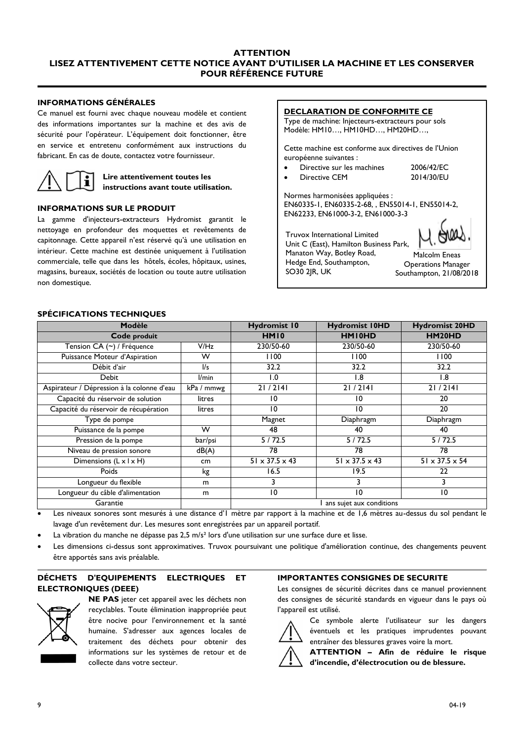#### **ATTENTION LISEZ ATTENTIVEMENT CETTE NOTICE AVANT D'UTILISER LA MACHINE ET LES CONSERVER POUR RÉFÉRENCE FUTURE**

#### **INFORMATIONS GÉNÉRALES**

Ce manuel est fourni avec chaque nouveau modèle et contient des informations importantes sur la machine et des avis de sécurité pour l'opérateur. L'équipement doit fonctionner, être en service et entretenu conformément aux instructions du fabricant. En cas de doute, contactez votre fournisseur.



#### **Lire attentivement toutes les instructions avant toute utilisation.**

#### **INFORMATIONS SUR LE PRODUIT**

La gamme d'injecteurs-extracteurs Hydromist garantit le nettoyage en profondeur des moquettes et revêtements de capitonnage. Cette appareil n'est réservé qu'à une utilisation en intérieur. Cette machine est destinée uniquement à l'utilisation commerciale, telle que dans les hôtels, écoles, hôpitaux, usines, magasins, bureaux, sociétés de location ou toute autre utilisation non domestique.

#### **DECLARATION DE CONFORMITE CE** Type de machine: Injecteurs-extracteurs pour sols

Modèle: HM10…, HM10HD…, HM20HD…,

Cette machine est conforme aux directives de l'Union européenne suivantes :

- Directive sur les machines 2006/42/EC
	- Directive CEM 2014/30/EU

Normes harmonisées appliquées : EN60335-1, EN60335-2-68, , EN55014-1, EN55014-2, EN62233, EN61000-3-2, EN61000-3-3

Truvox International Limited Unit C (East), Hamilton Business Park, Manaton Way, Botley Road, Hedge End, Southampton, SO30 2JR, UK

Malcolm Eneas Operations Manager Southampton, 21/08/2018

#### **SPÉCIFICATIONS TECHNIQUES**

| Modèle                                     |               | <b>Hydromist 10</b>        | <b>Hydromist IOHD</b>      | <b>Hydromist 20HD</b>      |
|--------------------------------------------|---------------|----------------------------|----------------------------|----------------------------|
| Code produit                               |               | HM <sub>10</sub>           | HM10HD                     | HM20HD                     |
| Tension CA (~) / Fréquence                 | V/Hz          | 230/50-60                  | 230/50-60                  | 230/50-60                  |
| Puissance Moteur d'Aspiration              | W             | I 100                      | 1100                       | 1100                       |
| Débit d'air                                | $\frac{1}{s}$ | 32.2                       | 32.2                       | 32.2                       |
| Debit                                      | l/min         | 0. ا                       | 8. ا                       | 8. ا                       |
| Aspirateur / Dépression à la colonne d'eau | kPa / mmwg    | 21/2141                    | 21/2141                    | 21/2141                    |
| Capacité du réservoir de solution          | litres        | 10                         | 10                         | 20                         |
| Capacité du réservoir de récupération      | litres        | 10                         | 10                         | 20                         |
| Type de pompe                              |               | Magnet                     | Diaphragm                  | Diaphragm                  |
| Puissance de la pompe                      | W             | 48                         | 40                         | 40                         |
| Pression de la pompe                       | bar/psi       | 5/72.5                     | 5/72.5                     | 5/72.5                     |
| Niveau de pression sonore                  | dB(A)         | 78                         | 78                         | 78                         |
| Dimensions $(L \times L \times H)$         | cm            | $51 \times 37.5 \times 43$ | $51 \times 37.5 \times 43$ | $51 \times 37.5 \times 54$ |
| Poids                                      | kg            | 16.5                       | 19.5                       | 22                         |
| Longueur du flexible                       | m             | 3                          |                            | 3                          |
| Longueur du câble d'alimentation           | m             | 10                         | 10                         | 10                         |
| Garantie                                   |               |                            | ans sujet aux conditions   |                            |

 Les niveaux sonores sont mesurés à une distance d'1 mètre par rapport à la machine et de 1,6 mètres au-dessus du sol pendant le lavage d'un revêtement dur. Les mesures sont enregistrées par un appareil portatif.

- La vibration du manche ne dépasse pas 2,5 m/s<sup>2</sup> lors d'une utilisation sur une surface dure et lisse.
- Les dimensions ci-dessus sont approximatives. Truvox poursuivant une politique d'amélioration continue, des changements peuvent être apportés sans avis préalable.

#### **DÉCHETS D'EQUIPEMENTS ELECTRIQUES ET ELECTRONIQUES (DEEE)**



**NE PAS** jeter cet appareil avec les déchets non recyclables. Toute élimination inappropriée peut être nocive pour l'environnement et la santé humaine. S'adresser aux agences locales de traitement des déchets pour obtenir des informations sur les systèmes de retour et de collecte dans votre secteur.

#### **IMPORTANTES CONSIGNES DE SECURITE**

Les consignes de sécurité décrites dans ce manuel proviennent des consignes de sécurité standards en vigueur dans le pays où l'appareil est utilisé.



Ce symbole alerte l'utilisateur sur les dangers éventuels et les pratiques imprudentes pouvant entraîner des blessures graves voire la mort.

**ATTENTION – Afin de réduire le risque d'incendie, d'électrocution ou de blessure.**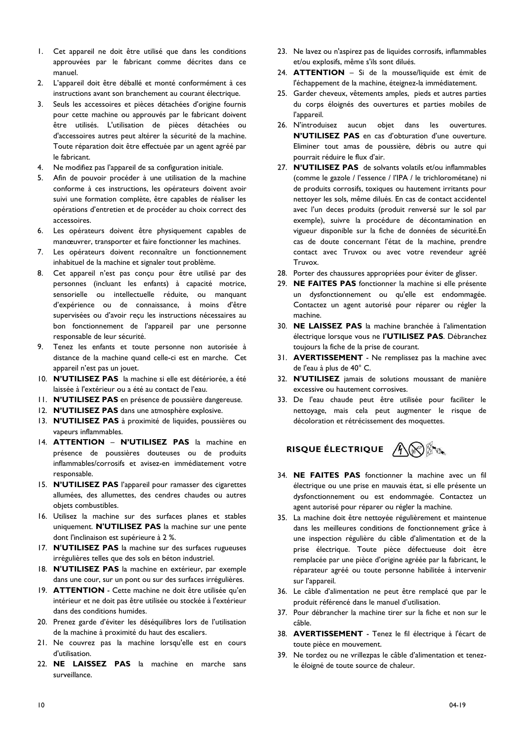- 1. Cet appareil ne doit être utilisé que dans les conditions approuvées par le fabricant comme décrites dans ce manuel.
- 2. L'appareil doit être déballé et monté conformément à ces instructions avant son branchement au courant électrique.
- 3. Seuls les accessoires et pièces détachées d'origine fournis pour cette machine ou approuvés par le fabricant doivent être utilisés. L'utilisation de pièces détachées ou d'accessoires autres peut altérer la sécurité de la machine. Toute réparation doit être effectuée par un agent agréé par le fabricant.
- 4. Ne modifiez pas l'appareil de sa configuration initiale.
- 5. Afin de pouvoir procéder à une utilisation de la machine conforme à ces instructions, les opérateurs doivent avoir suivi une formation complète, être capables de réaliser les opérations d'entretien et de procéder au choix correct des accessoires.
- 6. Les opérateurs doivent être physiquement capables de manœuvrer, transporter et faire fonctionner les machines.
- 7. Les opérateurs doivent reconnaître un fonctionnement inhabituel de la machine et signaler tout problème.
- 8. Cet appareil n'est pas conçu pour être utilisé par des personnes (incluant les enfants) à capacité motrice, sensorielle ou intellectuelle réduite, ou manquant d'expérience ou de connaissance, à moins d'être supervisées ou d'avoir reçu les instructions nécessaires au bon fonctionnement de l'appareil par une personne responsable de leur sécurité.
- 9. Tenez les enfants et toute personne non autorisée à distance de la machine quand celle-ci est en marche. Cet appareil n'est pas un jouet.
- 10. **N'UTILISEZ PAS** la machine si elle est détériorée, a été laissée à l'extérieur ou a été au contact de l'eau.
- 11. **N'UTILISEZ PAS** en présence de poussière dangereuse.
- 12. **N'UTILISEZ PAS** dans une atmosphère explosive.
- 13. **N'UTILISEZ PAS** à proximité de liquides, poussières ou vapeurs inflammables.
- 14. **ATTENTION N'UTILISEZ PAS** la machine en présence de poussières douteuses ou de produits inflammables/corrosifs et avisez-en immédiatement votre responsable.
- 15. **N'UTILISEZ PAS** l'appareil pour ramasser des cigarettes allumées, des allumettes, des cendres chaudes ou autres objets combustibles.
- 16. Utilisez la machine sur des surfaces planes et stables uniquement. **N'UTILISEZ PAS** la machine sur une pente dont l'inclinaison est supérieure à 2 %.
- 17. **N'UTILISEZ PAS** la machine sur des surfaces rugueuses irrégulières telles que des sols en béton industriel.
- 18. **N'UTILISEZ PAS** la machine en extérieur, par exemple dans une cour, sur un pont ou sur des surfaces irrégulières.
- 19. **ATTENTION** Cette machine ne doit être utilisée qu'en intérieur et ne doit pas être utilisée ou stockée à l'extérieur dans des conditions humides.
- 20. Prenez garde d'éviter les déséquilibres lors de l'utilisation de la machine à proximité du haut des escaliers.
- 21. Ne couvrez pas la machine lorsqu'elle est en cours d'utilisation.
- 22. **NE LAISSEZ PAS** la machine en marche sans surveillance.
- 23. Ne lavez ou n'aspirez pas de liquides corrosifs, inflammables et/ou explosifs, même s'ils sont dilués.
- 24. **ATTENTION** Si de la mousse/liquide est émit de l'échappement de la machine, éteignez-la immédiatement.
- 25. Garder cheveux, vêtements amples, pieds et autres parties du corps éloignés des ouvertures et parties mobiles de l'appareil.
- 26. N'introduisez aucun objet dans les ouvertures. **N'UTILISEZ PAS** en cas d'obturation d'une ouverture. Eliminer tout amas de poussière, débris ou autre qui pourrait réduire le flux d'air.
- 27. **N'UTILISEZ PAS** de solvants volatils et/ou inflammables (comme le gazole / l'essence / l'IPA / le trichlorométane) ni de produits corrosifs, toxiques ou hautement irritants pour nettoyer les sols, même dilués. En cas de contact accidentel avec l'un deces produits (produit renversé sur le sol par exemple), suivre la procédure de décontamination en vigueur disponible sur la fiche de données de sécurité.En cas de doute concernant l'état de la machine, prendre contact avec Truvox ou avec votre revendeur agréé Truvox.
- 28. Porter des chaussures appropriées pour éviter de glisser.
- 29. **NE FAITES PAS** fonctionner la machine si elle présente un dysfonctionnement ou qu'elle est endommagée. Contactez un agent autorisé pour réparer ou régler la machine.
- 30. **NE LAISSEZ PAS** la machine branchée à l'alimentation électrique lorsque vous ne **l'UTILISEZ PAS**. Débranchez toujours la fiche de la prise de courant.
- 31. **AVERTISSEMENT**  Ne remplissez pas la machine avec de l'eau à plus de 40° C.
- 32. **N'UTILISEZ** jamais de solutions moussant de manière excessive ou hautement corrosives.
- 33. De l'eau chaude peut être utilisée pour faciliter le nettoyage, mais cela peut augmenter le risque de décoloration et rétrécissement des moquettes.

## RISQUE ÉLECTRIQUE AR

- 34. **NE FAITES PAS** fonctionner la machine avec un fil électrique ou une prise en mauvais état, si elle présente un dysfonctionnement ou est endommagée. Contactez un agent autorisé pour réparer ou régler la machine.
- 35. La machine doit être nettoyée régulièrement et maintenue dans les meilleures conditions de fonctionnement grâce à une inspection régulière du câble d'alimentation et de la prise électrique. Toute pièce défectueuse doit être remplacée par une pièce d'origine agréée par la fabricant, le réparateur agréé ou toute personne habilitée à intervenir sur l'appareil.
- 36. Le câble d'alimentation ne peut être remplacé que par le produit référencé dans le manuel d'utilisation.
- 37. Pour débrancher la machine tirer sur la fiche et non sur le câble.
- 38. **AVERTISSEMENT**  Tenez le fil électrique à l'écart de toute pièce en mouvement.
- 39. Ne tordez ou ne vrillezpas le câble d'alimentation et tenezle éloigné de toute source de chaleur.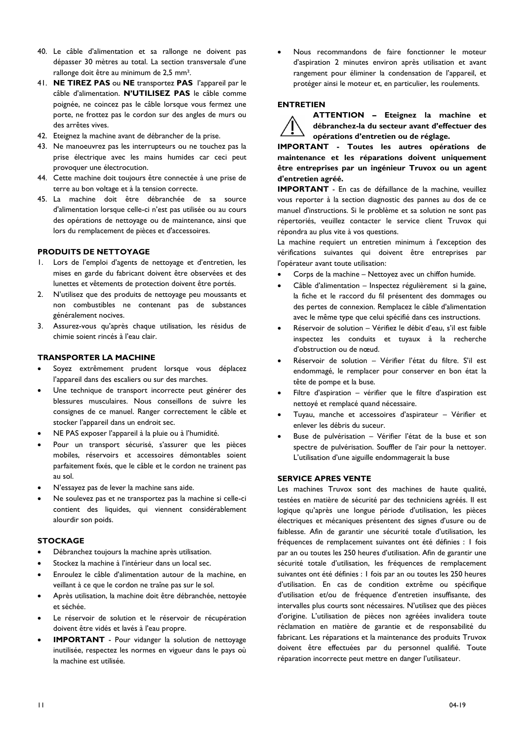- 40. Le câble d'alimentation et sa rallonge ne doivent pas dépasser 30 mètres au total. La section transversale d'une rallonge doit être au minimum de 2,5 mm².
- 41. **NE TIREZ PAS** ou **NE** transportez **PAS** l'appareil par le câble d'alimentation. **N'UTILISEZ PAS** le câble comme poignée, ne coincez pas le câble lorsque vous fermez une porte, ne frottez pas le cordon sur des angles de murs ou des arrêtes vives.
- 42. Eteignez la machine avant de débrancher de la prise.
- 43. Ne manoeuvrez pas les interrupteurs ou ne touchez pas la prise électrique avec les mains humides car ceci peut provoquer une électrocution.
- 44. Cette machine doit toujours être connectée à une prise de terre au bon voltage et à la tension correcte.
- 45. La machine doit être débranchée de sa source d'alimentation lorsque celle-ci n'est pas utilisée ou au cours des opérations de nettoyage ou de maintenance, ainsi que lors du remplacement de pièces et d'accessoires.

#### **PRODUITS DE NETTOYAGE**

- 1. Lors de l'emploi d'agents de nettoyage et d'entretien, les mises en garde du fabricant doivent être observées et des lunettes et vêtements de protection doivent être portés.
- 2. N'utilisez que des produits de nettoyage peu moussants et non combustibles ne contenant pas de substances généralement nocives.
- 3. Assurez-vous qu'après chaque utilisation, les résidus de chimie soient rincés à l'eau clair.

#### **TRANSPORTER LA MACHINE**

- Soyez extrêmement prudent lorsque vous déplacez l'appareil dans des escaliers ou sur des marches.
- Une technique de transport incorrecte peut générer des blessures musculaires. Nous conseillons de suivre les consignes de ce manuel. Ranger correctement le câble et stocker l'appareil dans un endroit sec.
- NE PAS exposer l'appareil à la pluie ou à l'humidité.
- Pour un transport sécurisé, s'assurer que les pièces mobiles, réservoirs et accessoires démontables soient parfaitement fixés, que le câble et le cordon ne trainent pas au sol.
- N'essayez pas de lever la machine sans aide.
- Ne soulevez pas et ne transportez pas la machine si celle-ci contient des liquides, qui viennent considérablement alourdir son poids.

#### **STOCKAGE**

- Débranchez toujours la machine après utilisation.
- Stockez la machine à l'intérieur dans un local sec.
- Enroulez le câble d'alimentation autour de la machine, en veillant à ce que le cordon ne traîne pas sur le sol.
- Après utilisation, la machine doit être débranchée, nettoyée et séchée.
- Le réservoir de solution et le réservoir de récupération doivent être vidés et lavés à l'eau propre.
- **IMPORTANT**  Pour vidanger la solution de nettoyage inutilisée, respectez les normes en vigueur dans le pays où la machine est utilisée.

 Nous recommandons de faire fonctionner le moteur d'aspiration 2 minutes environ après utilisation et avant rangement pour éliminer la condensation de l'appareil, et protéger ainsi le moteur et, en particulier, les roulements.

#### **ENTRETIEN**

**ATTENTION – Eteignez la machine et débranchez-la du secteur avant d'effectuer des opérations d'entretien ou de réglage.**

**IMPORTANT - Toutes les autres opérations de maintenance et les réparations doivent uniquement être entreprises par un ingénieur Truvox ou un agent d'entretien agréé.**

**IMPORTANT** - En cas de défaillance de la machine, veuillez vous reporter à la section diagnostic des pannes au dos de ce manuel d'instructions. Si le problème et sa solution ne sont pas répertoriés, veuillez contacter le service client Truvox qui répondra au plus vite à vos questions.

La machine requiert un entretien minimum à l'exception des vérifications suivantes qui doivent être entreprises par l'opérateur avant toute utilisation:

- Corps de la machine Nettoyez avec un chiffon humide.
- Câble d'alimentation Inspectez régulièrement si la gaine, la fiche et le raccord du fil présentent des dommages ou des pertes de connexion. Remplacez le câble d'alimentation avec le même type que celui spécifié dans ces instructions.
- Réservoir de solution Vérifiez le débit d'eau, s'il est faible inspectez les conduits et tuyaux à la recherche d'obstruction ou de nœud.
- Réservoir de solution Vérifier l'état du filtre. S'il est endommagé, le remplacer pour conserver en bon état la tête de pompe et la buse.
- Filtre d'aspiration vérifier que le filtre d'aspiration est nettoyé et remplacé quand nécessaire.
- Tuyau, manche et accessoires d'aspirateur Vérifier et enlever les débris du suceur.
- Buse de pulvérisation Vérifier l'état de la buse et son spectre de pulvérisation. Souffler de l'air pour la nettoyer. L'utilisation d'une aiguille endommagerait la buse

#### **SERVICE APRES VENTE**

Les machines Truvox sont des machines de haute qualité, testées en matière de sécurité par des techniciens agréés. Il est logique qu'après une longue période d'utilisation, les pièces électriques et mécaniques présentent des signes d'usure ou de faiblesse. Afin de garantir une sécurité totale d'utilisation, les fréquences de remplacement suivantes ont été définies : 1 fois par an ou toutes les 250 heures d'utilisation. Afin de garantir une sécurité totale d'utilisation, les fréquences de remplacement suivantes ont été définies : 1 fois par an ou toutes les 250 heures d'utilisation. En cas de condition extrême ou spécifique d'utilisation et/ou de fréquence d'entretien insuffisante, des intervalles plus courts sont nécessaires. N'utilisez que des pièces d'origine. L'utilisation de pièces non agréées invalidera toute réclamation en matière de garantie et de responsabilité du fabricant. Les réparations et la maintenance des produits Truvox doivent être effectuées par du personnel qualifié. Toute réparation incorrecte peut mettre en danger l'utilisateur.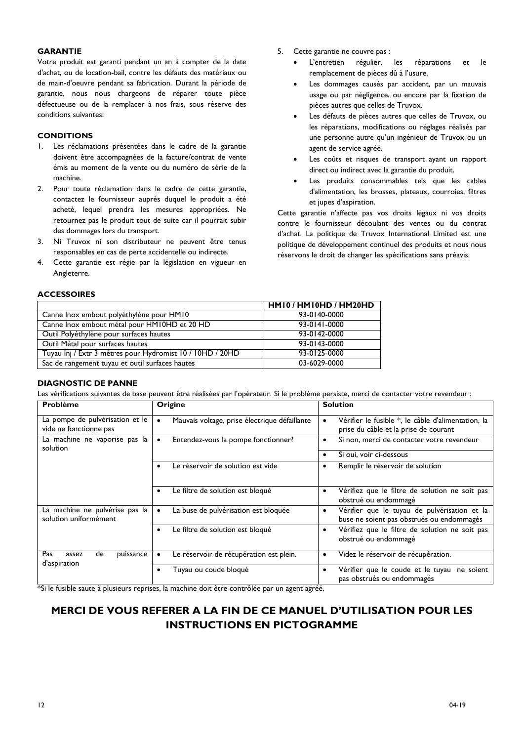#### **GARANTIE**

Votre produit est garanti pendant un an à compter de la date d'achat, ou de location-bail, contre les défauts des matériaux ou de main-d'oeuvre pendant sa fabrication. Durant la période de garantie, nous nous chargeons de réparer toute pièce défectueuse ou de la remplacer à nos frais, sous réserve des conditions suivantes:

#### **CONDITIONS**

- 1. Les réclamations présentées dans le cadre de la garantie doivent être accompagnées de la facture/contrat de vente émis au moment de la vente ou du numéro de série de la machine.
- 2. Pour toute réclamation dans le cadre de cette garantie, contactez le fournisseur auprès duquel le produit a été acheté, lequel prendra les mesures appropriées. Ne retournez pas le produit tout de suite car il pourrait subir des dommages lors du transport.
- 3. Ni Truvox ni son distributeur ne peuvent être tenus responsables en cas de perte accidentelle ou indirecte.
- 4. Cette garantie est régie par la législation en vigueur en Angleterre.
- 5. Cette garantie ne couvre pas :
	- L'entretien régulier, les réparations et le remplacement de pièces dû à l'usure.
	- Les dommages causés par accident, par un mauvais usage ou par négligence, ou encore par la fixation de pièces autres que celles de Truvox.
	- Les défauts de pièces autres que celles de Truvox, ou les réparations, modifications ou réglages réalisés par une personne autre qu'un ingénieur de Truvox ou un agent de service agréé.
	- Les coûts et risques de transport ayant un rapport direct ou indirect avec la garantie du produit.
	- Les produits consommables tels que les cables d'alimentation, les brosses, plateaux, courroies, filtres et jupes d'aspiration.

Cette garantie n'affecte pas vos droits légaux ni vos droits contre le fournisseur découlant des ventes ou du contrat d'achat. La politique de Truvox International Limited est une politique de développement continuel des produits et nous nous réservons le droit de changer les spécifications sans préavis.

#### **ACCESSOIRES**

|                                                           | HM10/HM10HD/HM20HD |
|-----------------------------------------------------------|--------------------|
| Canne Inox embout polyéthylène pour HM10                  | 93-0140-0000       |
| Canne Inox embout métal pour HM10HD et 20 HD              | 93-0141-0000       |
| Outil Polyéthylène pour surfaces hautes                   | 93-0142-0000       |
| Outil Métal pour surfaces hautes                          | 93-0143-0000       |
| Tuyau Inj / Extr 3 mètres pour Hydromist 10 / 10HD / 20HD | 93-0125-0000       |
| Sac de rangement tuyau et outil surfaces hautes           | 03-6029-0000       |

#### **DIAGNOSTIC DE PANNE**

Les vérifications suivantes de base peuvent être réalisées par l'opérateur. Si le problème persiste, merci de contacter votre revendeur :

| <b>Problème</b>                                           | Origine                                                    | <b>Solution</b>                                                                             |
|-----------------------------------------------------------|------------------------------------------------------------|---------------------------------------------------------------------------------------------|
| La pompe de pulvérisation et le<br>vide ne fonctionne pas | Mauvais voltage, prise électrique défaillante<br>$\bullet$ | Vérifier le fusible *, le câble d'alimentation, la<br>prise du câble et la prise de courant |
| La machine ne vaporise pas la<br>solution                 | Entendez-vous la pompe fonctionner?<br>$\bullet$           | Si non, merci de contacter votre revendeur<br>٠                                             |
|                                                           |                                                            | Si oui, voir ci-dessous                                                                     |
|                                                           | Le réservoir de solution est vide<br>٠                     | Remplir le réservoir de solution                                                            |
|                                                           | Le filtre de solution est bloqué<br>٠                      | Vérifiez que le filtre de solution ne soit pas<br>obstrué ou endommagé                      |
| La machine ne pulvérise pas la<br>solution uniformément   | La buse de pulvérisation est bloquée<br>$\bullet$          | Vérifier que le tuyau de pulvérisation et la<br>buse ne soient pas obstrués ou endommagés   |
|                                                           | Le filtre de solution est bloqué<br>$\bullet$              | Vérifiez que le filtre de solution ne soit pas<br>obstrué ou endommagé                      |
| Pas<br>de<br>puissance<br>assez<br>d'aspiration           | Le réservoir de récupération est plein.<br>٠               | Videz le réservoir de récupération.                                                         |
|                                                           | Tuyau ou coude bloqué                                      | Vérifier que le coude et le tuyau<br>ne soient<br>pas obstrués ou endommagés                |

\*Si le fusible saute à plusieurs reprises, la machine doit être contrôlée par un agent agréé.

### **MERCI DE VOUS REFERER A LA FIN DE CE MANUEL D'UTILISATION POUR LES INSTRUCTIONS EN PICTOGRAMME**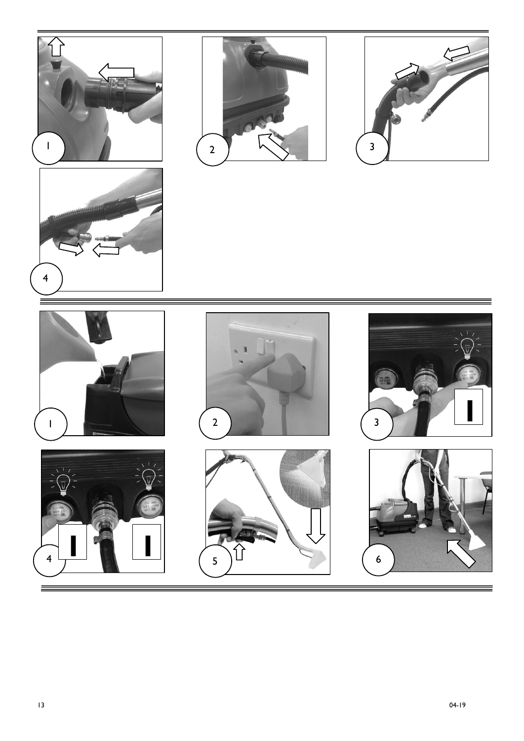